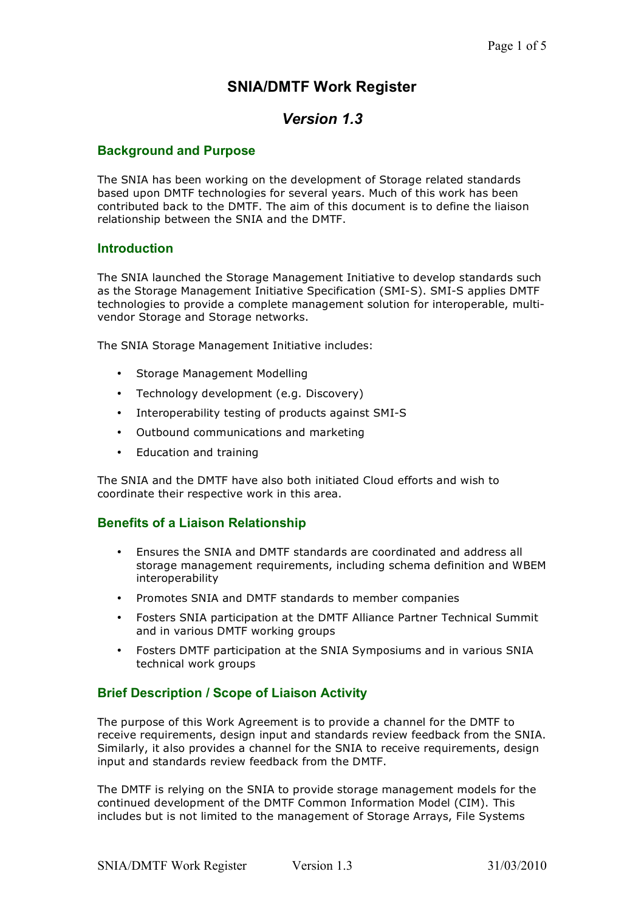# **SNIA/DMTF Work Register**

# *Version 1.3*

#### **Background and Purpose**

The SNIA has been working on the development of Storage related standards based upon DMTF technologies for several years. Much of this work has been contributed back to the DMTF. The aim of this document is to define the liaison relationship between the SNIA and the DMTF.

#### **Introduction**

The SNIA launched the Storage Management Initiative to develop standards such as the Storage Management Initiative Specification (SMI-S). SMI-S applies DMTF technologies to provide a complete management solution for interoperable, multivendor Storage and Storage networks.

The SNIA Storage Management Initiative includes:

- Storage Management Modelling
- Technology development (e.g. Discovery)
- Interoperability testing of products against SMI-S
- Outbound communications and marketing
- Education and training

The SNIA and the DMTF have also both initiated Cloud efforts and wish to coordinate their respective work in this area.

#### **Benefits of a Liaison Relationship**

- Ensures the SNIA and DMTF standards are coordinated and address all storage management requirements, including schema definition and WBEM interoperability
- Promotes SNIA and DMTF standards to member companies
- Fosters SNIA participation at the DMTF Alliance Partner Technical Summit and in various DMTF working groups
- Fosters DMTF participation at the SNIA Symposiums and in various SNIA technical work groups

#### **Brief Description / Scope of Liaison Activity**

The purpose of this Work Agreement is to provide a channel for the DMTF to receive requirements, design input and standards review feedback from the SNIA. Similarly, it also provides a channel for the SNIA to receive requirements, design input and standards review feedback from the DMTF.

The DMTF is relying on the SNIA to provide storage management models for the continued development of the DMTF Common Information Model (CIM). This includes but is not limited to the management of Storage Arrays, File Systems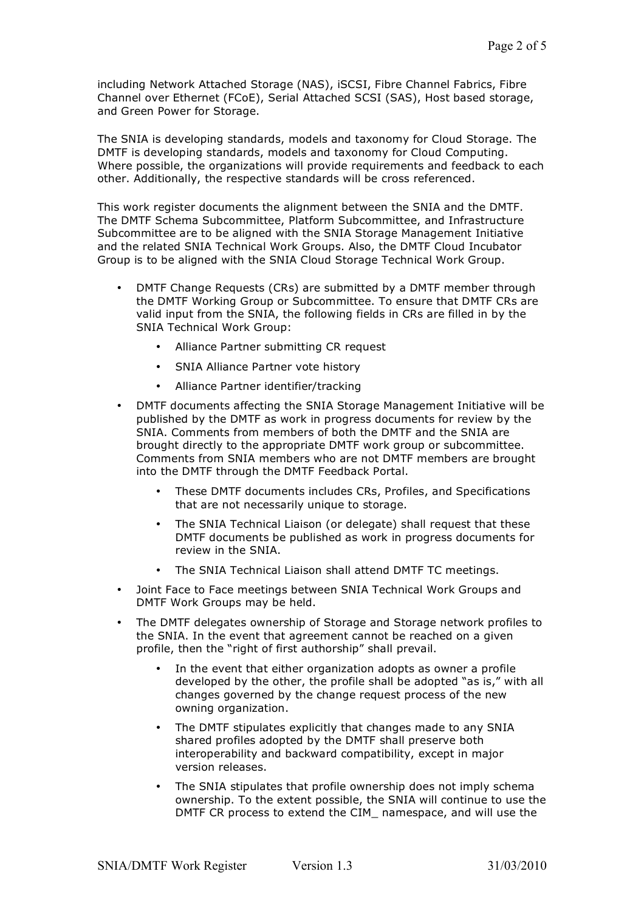including Network Attached Storage (NAS), iSCSI, Fibre Channel Fabrics, Fibre Channel over Ethernet (FCoE), Serial Attached SCSI (SAS), Host based storage, and Green Power for Storage.

The SNIA is developing standards, models and taxonomy for Cloud Storage. The DMTF is developing standards, models and taxonomy for Cloud Computing. Where possible, the organizations will provide requirements and feedback to each other. Additionally, the respective standards will be cross referenced.

This work register documents the alignment between the SNIA and the DMTF. The DMTF Schema Subcommittee, Platform Subcommittee, and Infrastructure Subcommittee are to be aligned with the SNIA Storage Management Initiative and the related SNIA Technical Work Groups. Also, the DMTF Cloud Incubator Group is to be aligned with the SNIA Cloud Storage Technical Work Group.

- DMTF Change Requests (CRs) are submitted by a DMTF member through the DMTF Working Group or Subcommittee. To ensure that DMTF CRs are valid input from the SNIA, the following fields in CRs are filled in by the SNIA Technical Work Group:
	- Alliance Partner submitting CR request
	- SNIA Alliance Partner vote history
	- Alliance Partner identifier/tracking
- DMTF documents affecting the SNIA Storage Management Initiative will be published by the DMTF as work in progress documents for review by the SNIA. Comments from members of both the DMTF and the SNIA are brought directly to the appropriate DMTF work group or subcommittee. Comments from SNIA members who are not DMTF members are brought into the DMTF through the DMTF Feedback Portal.
	- These DMTF documents includes CRs, Profiles, and Specifications that are not necessarily unique to storage.
	- The SNIA Technical Liaison (or delegate) shall request that these DMTF documents be published as work in progress documents for review in the SNIA.
	- The SNIA Technical Liaison shall attend DMTF TC meetings.
- Joint Face to Face meetings between SNIA Technical Work Groups and DMTF Work Groups may be held.
- The DMTF delegates ownership of Storage and Storage network profiles to the SNIA. In the event that agreement cannot be reached on a given profile, then the "right of first authorship" shall prevail.
	- In the event that either organization adopts as owner a profile developed by the other, the profile shall be adopted "as is," with all changes governed by the change request process of the new owning organization.
	- The DMTF stipulates explicitly that changes made to any SNIA shared profiles adopted by the DMTF shall preserve both interoperability and backward compatibility, except in major version releases.
	- The SNIA stipulates that profile ownership does not imply schema ownership. To the extent possible, the SNIA will continue to use the DMTF CR process to extend the CIM namespace, and will use the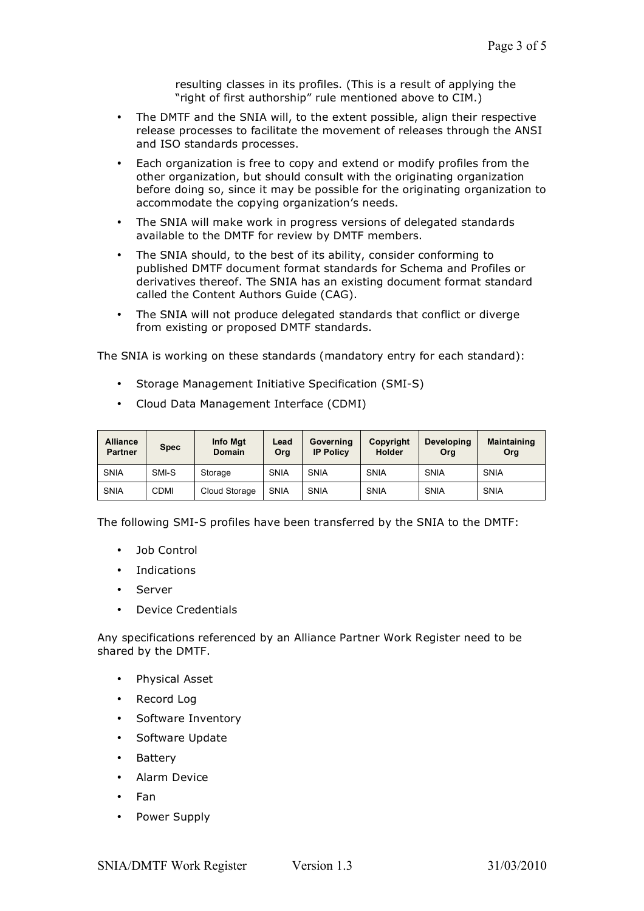resulting classes in its profiles. (This is a result of applying the "right of first authorship" rule mentioned above to CIM.)

- The DMTF and the SNIA will, to the extent possible, align their respective release processes to facilitate the movement of releases through the ANSI and ISO standards processes.
- Each organization is free to copy and extend or modify profiles from the other organization, but should consult with the originating organization before doing so, since it may be possible for the originating organization to accommodate the copying organization's needs.
- The SNIA will make work in progress versions of delegated standards available to the DMTF for review by DMTF members.
- The SNIA should, to the best of its ability, consider conforming to published DMTF document format standards for Schema and Profiles or derivatives thereof. The SNIA has an existing document format standard called the Content Authors Guide (CAG).
- The SNIA will not produce delegated standards that conflict or diverge from existing or proposed DMTF standards.

The SNIA is working on these standards (mandatory entry for each standard):

- Storage Management Initiative Specification (SMI-S)
- Cloud Data Management Interface (CDMI)

| <b>Alliance</b><br><b>Partner</b> | <b>Spec</b> | Info Mgt<br><b>Domain</b> | Lead<br>Org | Governing<br><b>IP Policy</b> | Copyright<br><b>Holder</b> | <b>Developing</b><br>Ora | <b>Maintaining</b><br>Org |
|-----------------------------------|-------------|---------------------------|-------------|-------------------------------|----------------------------|--------------------------|---------------------------|
| <b>SNIA</b>                       | SMI-S       | Storage                   | <b>SNIA</b> | <b>SNIA</b>                   | <b>SNIA</b>                | <b>SNIA</b>              | <b>SNIA</b>               |
| <b>SNIA</b>                       | <b>CDMI</b> | Cloud Storage             | <b>SNIA</b> | <b>SNIA</b>                   | <b>SNIA</b>                | <b>SNIA</b>              | <b>SNIA</b>               |

The following SMI-S profiles have been transferred by the SNIA to the DMTF:

- Job Control
- **Indications**
- **Server**
- Device Credentials

Any specifications referenced by an Alliance Partner Work Register need to be shared by the DMTF.

- Physical Asset
- Record Log
- Software Inventory
- Software Update
- Battery
- Alarm Device
- Fan
- Power Supply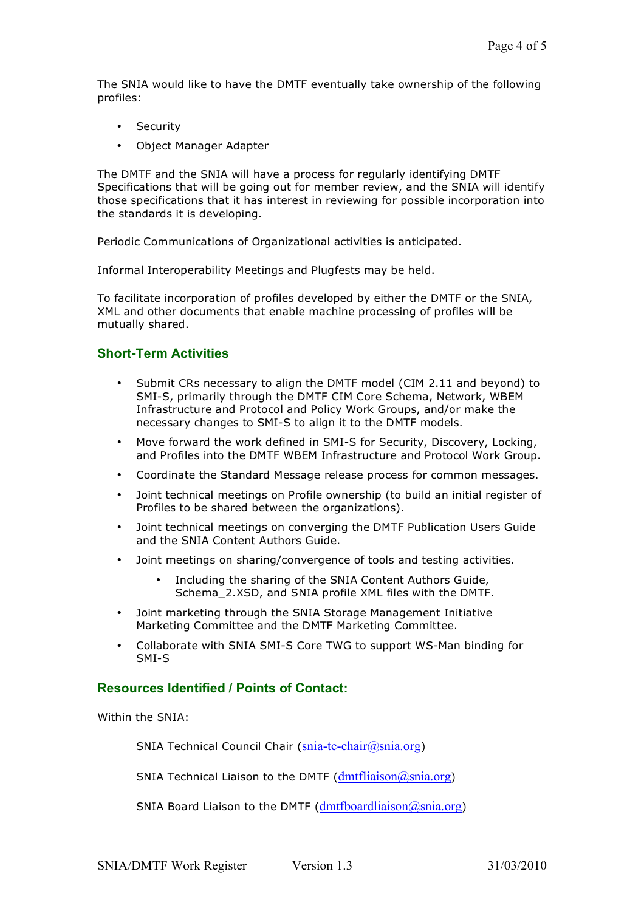The SNIA would like to have the DMTF eventually take ownership of the following profiles:

- Security
- Object Manager Adapter

The DMTF and the SNIA will have a process for regularly identifying DMTF Specifications that will be going out for member review, and the SNIA will identify those specifications that it has interest in reviewing for possible incorporation into the standards it is developing.

Periodic Communications of Organizational activities is anticipated.

Informal Interoperability Meetings and Plugfests may be held.

To facilitate incorporation of profiles developed by either the DMTF or the SNIA, XML and other documents that enable machine processing of profiles will be mutually shared.

### **Short-Term Activities**

- Submit CRs necessary to align the DMTF model (CIM 2.11 and beyond) to SMI-S, primarily through the DMTF CIM Core Schema, Network, WBEM Infrastructure and Protocol and Policy Work Groups, and/or make the necessary changes to SMI-S to align it to the DMTF models.
- Move forward the work defined in SMI-S for Security, Discovery, Locking, and Profiles into the DMTF WBEM Infrastructure and Protocol Work Group.
- Coordinate the Standard Message release process for common messages.
- Joint technical meetings on Profile ownership (to build an initial register of Profiles to be shared between the organizations).
- Joint technical meetings on converging the DMTF Publication Users Guide and the SNIA Content Authors Guide.
- Joint meetings on sharing/convergence of tools and testing activities.
	- Including the sharing of the SNIA Content Authors Guide, Schema\_2.XSD, and SNIA profile XML files with the DMTF.
- Joint marketing through the SNIA Storage Management Initiative Marketing Committee and the DMTF Marketing Committee.
- Collaborate with SNIA SMI-S Core TWG to support WS-Man binding for SMI-S

#### **Resources Identified / Points of Contact:**

Within the SNIA:

SNIA Technical Council Chair (snia-tc-chair@snia.org)

SNIA Technical Liaison to the DMTF ( $dmt$ fliaison $@s$ nia.org)

SNIA Board Liaison to the DMTF ( $dmtfboardliaison(a)sina.org$ )